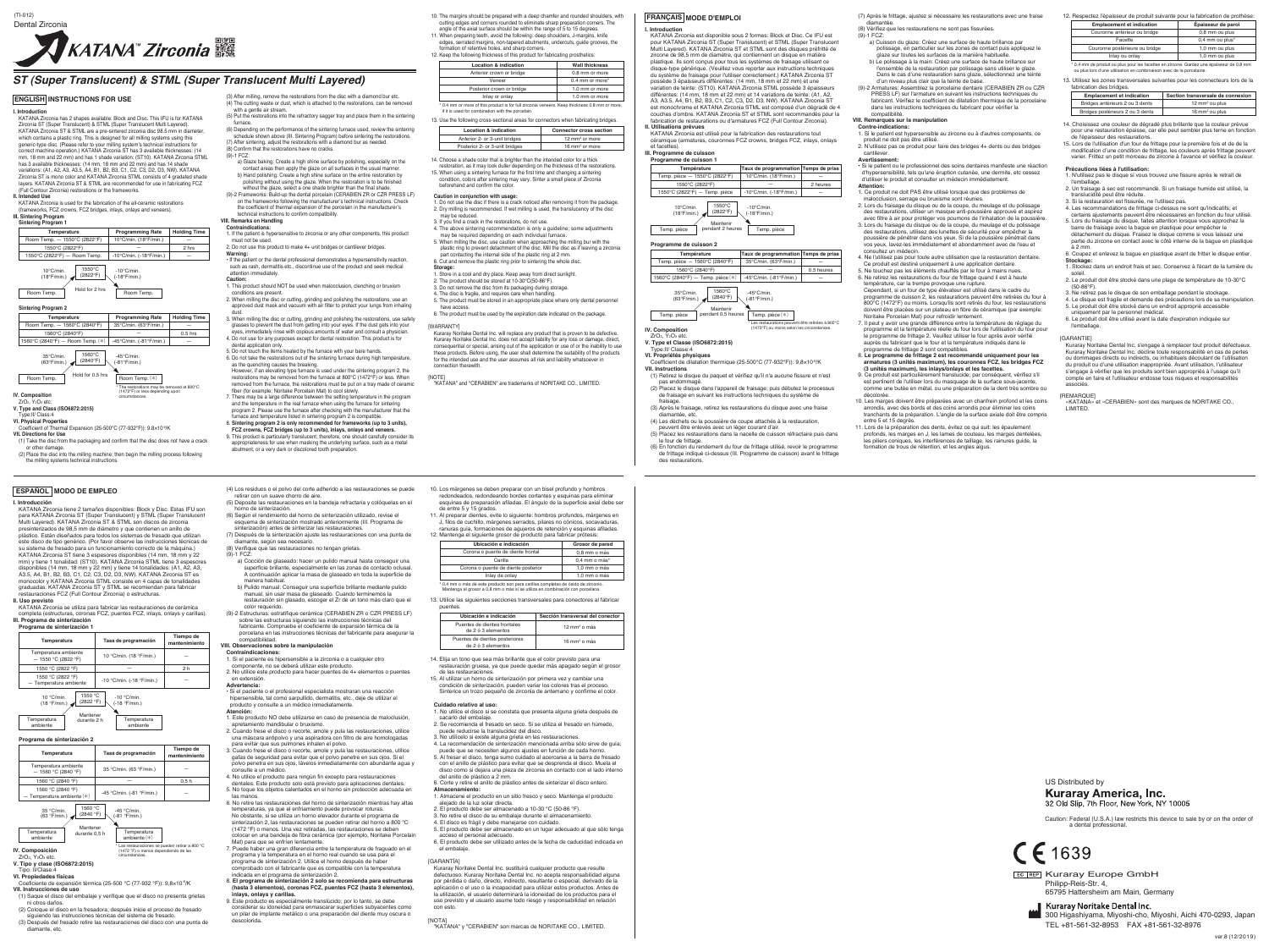- co<br>nal Expansion (25-500℃ (77-932°F)): 9.8×10<sup>-6</sup>/K
- **VII. Directions for Use**
- (1) Take the disc from the packaging and confirm that the disc does not have a crack or other damage. (2) Place the disc into the milling machine; then begin the milling process following
- the milling systems technical instructions.

(Full Contour Zirconia) restorations or the frameworks. **II. Intended Use** KATANA Zirconia is used for the fabrication of the all-ceramic restorations (frameworks, FCZ crowns, FCZ bridges, inlays, onlays and veneers).

## **III. Sintering Program Sintering Program 1**

ZrO2, Y2O3 etc.

**V. Type and Class (ISO6872:2015)**

Type:Ⅱ/ Class:4 **VI. Physical Properties**

- (3) After milling, remove the restorations from the disc with a diamond bur etc. (4) The cutting waste or dust, which is attached to the restorations, can be removed with a gentle air stream. (5) Put the restorations into the refractory sagger tray and place them in the sintering
- furnace.<br>
(6) Depending on the performance of the sintering furnace used, review the sintering<br>
schedule shown above (III. Sintering Program) before sintering the restorations.<br>
(7) After sintering, adjust the restorations
- 
- (9)-1 FCZ:<br>a) Glaze baking: Create a high shine surface by polishing, especially on the<br>contact areas then apply the glaze on all surfaces in the usual manner.<br>b) Hand polishing: Create a high shine surface on the entire r polishing without using the glaze. When the restoration is to be finished
- without the glaze, select a one shade brighter than the final shade. (9)-2 Frameworks: Build-up the dental porcelain (CERABIEN ZR or CZR PRESS LF) on the frameworks following the manufacturer's technical instructions. Check the coefficient of thermal expansion of the porcelain in the manufacturer's technical instructions to confirm compatibility.

## **VIII. Remarks on Handling**

- **Contraindications:** 1. If the patient is hypersensitive to zirconia or any other components, this product
- must not be used. 2. Do not use this product to make 4+ unit bridges or cantilever bridges.
- 

Warning:<br>• If the patient or the dental professional demonstrates a hypersensitivity reaction,<br>• Such as rash, dermatitis etc., discontinue use of the product and seek medical<br>• attention immediately.

- **Caution:**<br>1. This product should NOT be used when malocclusion, clenching or bruxism conditions are present.
- 2. When milling the disc or cutting, grinding and polishing the restorations, use an approved dust mask and vacuum with air filter to protect your lungs from inhaling
- glasses to prevent the dust from getting into your eyes. If the dust gets into your eyes, immediately rinse with copious amounts of water and consult a physician.
- 4. Do not use for any purposes except for dental restoration. This product is for dental application only.
- 
- 5. Do not touch the items heated by the furnace with your bare hands.<br>6. Do not take the restorations out of the sintering furnace during high temperature,<br>as the quenching causes the breaking.<br>However, if an elevating ty
- 7. There may be a large difference between the setting temperature in the program<br>and the temperature in the real furnace when using the furnace for sintering<br>program 2. Please use the furnace after checking with the manuf
- furnace and temperature listed in sintering program 2 is compatible. 8. **Sintering program 2 is only recommended for frameworks (up to 3 units),**
- FCZ crowns, FCZ bridges (up to 3 units), inlays, onlays and veneers.<br>9. This product is particularly translucent; therefore, one should carefully consider its<br>- appropriateness for use when masking the underlying surface, abutment, or a very dark or discolored tooth preparation.
- (4) Los residuos o el polvo del corte adherido a las restauraciones se puede retirar con un suave chorro de aire. (5) Deposite las restauraciones en la bandeja refractaria y colóquelas en el
- horno de sinterización. (6) Según el rendimiento del horno de sinterización utilizado, revise el
- esquema de sinterización mostrado anteriormente (III. Programa de<br>sinterización) antes de sinterizar las restauraciones.<br>(7) Después de la sinterización ajuste las restauraciones con una punta de<br>diamante, según sea necesa
- 
- - a) Cocción de glaseado: hacer un pulido manual hasta conseguir una superficie brillante, especialmente en las zonas de contacto oclusal. A continuación aplicar la masa de glaseado en toda la superficie de manera habitual.
- b) Pulido manual: Conseguir una superficie brillante mediante pulido manual, sin usar masa de glaseado. Cuando terminemos la restauración sin glasado, escoger el Zr de un tono más claro que el
- color requerido. (9)-2 Estructuras: estratifique cerámica (CERABIEN ZR o CZR PRESS LF) sobre las estructuras siguiendo las instrucciones técnicas del fabricante. Compruebe el coeficiente de expansión térmica de la porcelana en las instrucciones técnicas del fabricante para asegurar la
- compatibilidad.<br>VIII Observaciones **VIII. Observaciones sobre la manipulación**
- 
- **Contraindicaciones:** 1. Si el paciente es hipersensible a la zirconia o a cualquier otro componente, no se deberá utilizar este producto. 2. No utilice este producto para hacer puentes de 4+ elementos o puentes
- 
- 
- en extensión.<br>**Advertencia:**<br>**-** Si el paciente o el profesional especialista mostraran una reacción<br>hipersensible, tal como sarpullido, dermatitis, etc., deje de utilizar el<br>producto y consulte a un médico inmediatamente.
- 1. Este producto NO debe utilizarse en caso de presencia de maloclusión,
- apretamiento mandibular o bruxismo. 2. Cuando frese el disco o recorte, amole y pula las restauraciones, utilice una máscara antipolvo y una aspiradora con filtro de aire homologadas
- para evitar que sus pulmones inhalen el polvo.<br>3. Cuando frese el disco o recorte, amole y pula las restauraciones, utilice<br>gafas de seguridad para evitar que el polvo penetre en sus ojos. Si el
- polvo penetra en sus ojos, lávelos inmediatamente con abundante agua y consulte a un médico.
- 4. No utilice el producto para ningún fin excepto para restauraciones dentales. Este producto solo está previsto para aplicaciones dentales. 5. No toque los objetos calentados en el horno sin protección adecuada en
- las manos. 6. No retire las restauraciones del horno de sinterización mientras hay altas temperaturas, ya que el enfriamiento puede provocar roturas. No obstante, si se utiliza un horno elevador durante el programa de sinterización 2, las restauraciones se pueden retirar del horno a 800 °C (1472 °F) o menos. Una vez retiradas, las restauraciones se deben colocar en una bandeja de fibra cerámica (por ejemplo, Noritake Porcelain
- Mat) para que se enfríen lentamente. 7. Puede haber una gran diferencia entre la temperatura de fraguado en el programa y la temperatura en el horno real cuando se usa para el
- programa de sinterización 2. Utilice el horno después de haber bado con el fabricante que es compatible con la temperatura indicada en el programa de sinterización 2.
- 8. **El programa de sinterización 2 solo se recomienda para estructuras (hasta 3 elementos), coronas FCZ, puentes FCZ (hasta 3 elementos),**
- inlays, onlays y carillas.<br>9. Este producto es especialmente translúcido; por lo tanto, se debe<br>considerar su idoneidad para enmascarar superficies subyacentes como<br>un pilar de implante metálico o una preparación del dient

10. The margins should be prepared with a deep chamfer and rounded shoulders, with<br>cutting edges and corners rounded to eliminate sharp preparation corners. The<br>angle of the axial surface should be within the range of 5 to

- (7) Après le frittage, ajustez si nécessaire les restaurations avec une fraise
- diamantée. (8) Vérifiez que les restaurations ne sont pas fissurées.
- (9)-1 FCZ: a) Cuisson du glaze: Créez une surface de haute brillance par
- polissage, en particulier sur les zones de contact puis appliquez le glaze sur toutes les surfaces de la manière habituelle. b) Le polissage à la main: Créez une surface de haute brillance sur l'ensemble de la restauration par polissage sans utiliser le glaze. Dans le cas d'une restauration sans glaze, sélectionnez une teinte
- d'un niveau plus clair que la teinte de base. (9)-2 Armatures: Assemblez la porcelaine dentaire (CERABIEN ZR ou CZR PRESS LF) sur l'armature en suivant les instructions techniques du fabricant. Vérifiez le coefficient de dilatation thermique de la porcelaine PRESS LF) sur l'armature en suivant les instructions techniques du<br>fabricant. Vérifiez le coefficient de dilatation thermique de la porcelaine<br>dans les instructions techniques du fabricant pour vérifier la

- 
- 
- **Contre-indications:**<br>1. Si le patient est hypersensible au zircone ou à d'autres composants, ce<br>2. N'utilisez pas ce produit pour faire des bridges 4+ dents ou des bridges cantilever.

KATANA Zirconia tiene 2 tamaños disponibles: Block y Disc. Estas IFU son para KATANA Zirconia ST (Super Translucent) y STML (Super Translucent<br>Multi Layered). KATANA Zirconia ST & STML son discos de zirconia<br>presinterizados de 98,5 mm de diámetro y que contienen un anillo de<br>plástico. Están dis monocolor y KATANA Zirconia STML consiste en 4 capas de tonalidades<br>graduadas. KATANA Zirconia ST y STML se recomiendan para fabricar<br>restauraciones FCZ (Full Contour Zirconia) o estructuras.

**I. Introduction** KATANA Zirconia est disponible sous 2 formes: Block et Disc. Ce IFU est pour KATANA Zirconia ST (Super Translucent) et STML (Super Translucent Multi Layered). KATANA Zirconia ST et STML sont des disques préfritté de zircone de 98,5 mm de diamètre, qui contiennent un disque en matière plastique. Ils sont conçus pour tous les systèmes de fraisage utilisant ce disque-type générique. (Veuillez vous reporter aux instructions techniques du système de fraisage pour l'utiliser correctement.) KATANA Zirconia ST possède 3 épaisseurs différentes: (14 mm, 18 mm et 22 mm) et une variation de teinte: (ST10). KATANA Zirconia STML possède 3 épaisseurs<br>différentes: (14 mm, 18 mm et 22 mm) et 14 variations de teinte: (A1, A2,<br>A3, A3.5, A4, B1, B2, B3, C1, C2, C3, D2, D3, NW). KATANA Zirconia ST est monochrome et KATANA Zirconia STML est composé d'un dégradé de 4 couches d'ombre. KATANA Zirconia ST et STML sont recommandés pour la fabrication de restaurations ou d'armatures FCZ (Full Contour Zirconia). **II. Utilisations prévues** KATANA Zirconia est utilisé pour la fabrication des restaurations tout céramique (armatures, couronnes FCZ crowns, bridges FCZ, inlays, onlays

et facettes). **III. Programme de cuisson Programme de cuisson 1**

**Programme de cuisson 2**

**IV. Composition** ZrO2, Y2O3 etc. **V. Type et Classe (ISO6872:2015)**

**VII. Instructions**

(1) Retirez le disque du paquet et vérifiez qu'il n'a aucune fissure et n'est pas endommagé. (2) Placez le disque dans l'appareil de fraisage; puis débutez le processus de fraisage en suivant les instructions techniques du système de fraisage. (3) Après le fraisage, retirez les restaurations du disque avec une fraise

diamantée, etc.<br>
(4) Les déchets ou la poussière de coupe attachés à la restauration,<br>
peuvent être enlevés avec un léger courant d'air.<br>
(5) Placez les restaurations dans la nacelle de cuisson réfractaire puis dans<br>
le fo

ype:II/ Cla

## compatibilité. **VIII. Remarques sur la manipulation**

### **Avertissement:**

• Si le patient ou le professionnel des soins dentaires manifeste une réaction d'hypersensibilité, tels qu'une éruption cutanée, une dermite, etc cessez d'utiliser le produit et consulter un médecin immédiatement.

- **-montion:**<br>1. Ce produit ne doit PAS être utilisé lorsque que des problèmes de l
- 
- 1. Ce produit ne doit PAS être utilisé lorsque que des problèmes de<br>malocclusion, serage ou bruxisme sont réunies.<br>2. Lors du fraisage du disque ou de la coupe, du meulage et du polissage<br>des restaurations, utiliser un mas vos yeux, lavez-les immédiatement et abondamment avec de l'eau et
- consultez un médecin. 4. Ne l'utilisez pas pour toute autre utilisation que la restauration dentaire. Ce produit est destiné uniquement à une application dentaire. 5. Ne touchez pas les éléments chauffés par le four à mains nues.
- 6. Ne retirez les restaurations du four de frittage quand il est à haute température, car la trempe provoque une rupture. Cependant, si un four de type élévateur est utilisé dans le cadre du
- programme de cuisson 2, les restaurations peuvent être retirées du four à 800°C (1472°F) ou moins. Lorsqu'ils sont retirées du four, les restaurations doivent être placées sur un plateau en fibre de céramique (par exemple
- 
- décolorée.
- 10. Les marges doivent être préparées avec un chanfrein profond et les coins arrondis, avec des bords et des coins arrondis pour éliminer les coins tranchants de la préparation. L'angle de la surface axiale doit être compris
- entre 5 et 15 degrés.<br>11. Lors de la préparation des dents, évitez ce qui suit: les épaulement<br>profonds, les marges en J, les lames de couteau, les marges dentelées,<br>les piliers coniques, les interférences de taillage, les

Kuraray Noritake Dental Inc. does not accept liability for any loss or damage, direct,<br>consequential or special, arising out of the application or use of or the inability to use<br>these products. Before using, the user shall for the intended use and the user assumes all risk and liability whatsoever in

[GARANTIE]<br>Kuraray Noritake Dental Inc. s'engage à remplacer tout produit défectueux.<br>Kuraray Noritake Dental Inc. décline toute responsabilité en cas de pertes<br>ou dommages directs ou indirects, ou inhabituels découlant de associés.

### **IREMARQUEL**

«KATANA» et «CERABIEN» sont des marques de NORITAKE CO., **LIMITED** 

**I. Introducción**

**II. Uso previsto** KATANA Zirconia se utiliza para fabricar las restauraciones de cerámica completa (estructuras, coronas FCZ, puentes FCZ, inlays, onlays y carillas). **III. Programa de sinterización Programa de sinterización 1**

### **Programa de sinterización 2**

**V. Tipo y clase (ISO6872:2015)**

- Tipo: Ⅱ/Clase:4 **VI. Propiedades físicas**
- Coeficiente de expansión térmica (25-500 ℃ (77-932 °F)): 9,8×10-6/K **VII. Instrucciones de uso**
- n. Instrucciones de uso<br>(1) Saque el disco del embalaje y verifique que el disco no presenta grietas ni otros daños.
- (2) Coloque el disco en la fresadora; después inicie el proceso de fresado siguiendo las instrucciones técnicas del sistema de fresado.
- (3) Después del fresado retire las restauraciones del disco con una punta de diamante, etc.

1550℃ (2822°F) Maintenir Temp. pièce pendant 2 heures Temp. pièce

> 1560℃ (2840°F) Main

35℃/min. (63°F/min.) -45℃/min. (-81°F/min.) 1560℃ (2840°F) Hold for 0.5 hrs Room Temp. Hold for U.5 hrs Room Temp. (\*)

> **Grosor de pared**  $0,8$  mm o más  $0,4$  mm o más $^*$

16 mm<sup>2</sup> o más

12 mm<sup>2</sup> o más

#### [WARRANTY] ritake Dental Inc. will replace any product that is proven to be defective

**IV. Composición**<br>ZrO<sub>2</sub>, Y<sub>2</sub>O<sub>3</sub> etc. (63 °F/min.) (-81 °F/min.) Mantener<br>durante 0,5 h Temperatura durante 0,5 h ambiente Temperatura ambiente(\*) n retirar a 800 °C (1472 °F) o menos dependiendo de las circunstancias.

> Philipp-Reis-Str. 4, 65795 Hattersheim am Main, Germany **EC REP** Kuraray Europe GmbH

> > Kuraray Noritake Dental Inc. 300 Higashiyama, Miyoshi-cho, Miyoshi, Aichi 470-0293, Japan TEL +81-561-32-8953 FAX +81-561-32-8976

US Distributed by**Kuraray America, Inc.** 32 Old Slip, 7th Floor, New York, NY 10005

**IV. Composition** \* The restorations may be removed at 800℃ (1472°F) or less depending upon circumstances.

## **ST (Super Translucent) & STML (Super Translucent Multi Layered)**

- 13. Use the following cross-sectional areas for connectors when fabricating bridges. **Location & indication Connector cross section**
- Posterior 2- or 3-unit bridges 16 mm<sup>2</sup> or more Anterior 2- or 3-unit bridges  $12 \text{ mm}^2$  or more
- 14. Choose a shade color that is brighter than the intended color for a thick restoration, as it may look duller depending on the thickness of the restorations.<br>15. When using a sintering furnace for the first time and changing a sintering<br>Condition, colors after sintering may vary. Sinter a small p
- beforehand and confirm the color.
- **Caution in conjunction with usage:**
- 1. Do not use the disc if there is a crack noticed after removing it from the package. 2. Dry milling is recommended. If wet milling is used, the translucency of the disc may be reduced. 3. If you find a crack in the restorations, do not use.

- 4. The above sintering recommendation is only a guideline; some adjustments may be required depending on each individual furnace.
- 5. When milling the disc, use caution when approaching the milling bur with the<br>plastic ring to prevent detachment of the disc. Mill the disc as if leaving a zirconia<br>part contacting the internal side of the plastic ring a 6. Cut and remove the plastic ring prior to sintering the whole disc.
- **Storage:** 1. Store in a cool and dry place. Keep away from direct sunlight.
- 
- 2. The product should be stored at 10-30℃(50-86°F).<br>3. Do not remove the disc from its packaging during storage.<br>4. The disc is fragile, and requires care when handling.
- 
- 5. The product must be stored in an appropriate place where only dental personnel
- Temperature **Programming Rate Holding Time** 3. When milling the disc or cutting, grinding and polishing the restorations, use safety **6.** The product must be used by the expiration date indicated on the package. **Temp. piè** have access. 6. The product must be used by the expiration date indicated on the package.

connection therewith.

[NOTE] "KATANA" and "CERABIEN" are trademarks of NORITAKE CO., LIMITED.

## 12. Respectez l'épaisseur de produit suivante pour la fabrication de prothèse:

\* 0,4 mm de produit ou plus pour les facettes en zircone. Gardez une épaisseur de 0,8 mm ou plus lors d'une utilisation en combinaison avec de la porcelaine.

13. Utilisez les zones transversales suivantes pour les connecteurs lors de la fabrication des bridges.

- 14. Choisissez une couleur de dégradé plus brillante que la couleur prévue pour une restauration épaisse, car elle peut sembler plus terne en fonction
- de l'épaisseur des restaurations. 15. Lors de l'utilisation d'un four de frittage pour la première fois et de de la modification d'une condition de frittage, les couleurs après frittage peuvent varier. Frittez un petit morceau de zircone à l'avance et vérifiez la couleur.

#### **Précautions liées à l'utilisation:**

- 1. N'utilisez pas le disque si vous trouvez une fissure après le retrait de l'emballage. 2. Un fraisage à sec est recommandé. Si un fraisage humide est utilisé, la
- translucidité peut être réduite.
- 3. Si la restauration est fissurée, ne l'utilisez pas.
- 4. Les recommandations de frittage ci-dessus ne sont qu'indicatifs; et certains ajustements peuvent être nécessaires en fonction du four utilisé. 5. Lors du fraisage du disque, faites attention lorsque vous approchez la
- barre de fraisage avec la bague en plastique pour empêcher le<br>détachement du disque. Fraisez le disque comme si vous laissez une<br>partie du zircone en contact avec le côté interne de la bague en plastique
- à 2 mm.<br>6. Coupez et enlevez la bague en plastique avant de fritter le disque entier.<br>**Stockage:**<br>1. Stockez dans un endroit frais et sec. Conservez à l'écart de la lumière du
- soleil. 2. Le produit doit être stocké dans une plage de température de 10-30°C
- (50-86°F).
- 3. Ne retirez pas le disque de son emballage pendant le stockage.
- 4. Le disque est fragile et demande des précautions lors de sa manipulation. 5. Le produit doit être stocké dans un endroit approprié accessible uniquement par le personnel médical.
- 6. Le produit doit être utilisé avant la date d'expiration indiquée sur l'emballage.

10. Los márgenes se deben preparar con un bisel profundo y hombros

redondeados, redondeando bordes cortantes y esquinas para eliminar esquinas de preparación afiladas. El ángulo de la superficie axial debe ser

de entre 5 y 15 grados.

J, filos de cuchillo, márgenes serrados, pilares no cónicos, socavaduras, ranuras guía, formaciones de agujeros de retención y esquinas afiladas. 12. Mantenga el siguiente grosor de producto para fabricar prótesis:

\* 0,4 mm o más de este producto son para carillas completas de óxido de zirconio. Mantenga el grosor a 0,8 mm o más si se utiliza en combinación con porcelana. 13. Utilice las siguientes secciones transversales para conectores al fabricar

Puentes de dientes frontales<br>
de 2 ó 3 elementos

14. Elija un tono que sea más brillante que el color previsto para una<br>restauración gruesa, ya que puede quedar más apagado según el grosor<br>de las restauraciones.<br>15. Al utilizar un horno de sinterización por primera vez y

puentes.

**Cuidado relativo al uso:**

1. No utilice el disco si se constata que presenta alguna grieta después de

sacarlo del embalaje.

2. Se recomienda el fresado en seco. Si se utiliza el fresado en húmedo,

puede reducirse la translucidez del disco. 3. No utilícelo si existe alguna grieta en las restauraciones.

ne o y 15 grados.<br>parar dientes, evite lo siguiente: hombros profundos, márgenes en

Corona o puente de diente posterior 1,0 mm o más Inlay de onlay 1,0 mm o más

4. La recomendación de sinterización mencionada arriba sólo sirve de guía; puede que se necesiten algunos ajustes en función de cada horno. 5. Al fresar el disco, tenga sumo cuidado al acercarse a la barra de fresado

con el anillo de plástico para evitar que se desprenda el disco. Muela el disco como si dejara una pieza de zirconia en contacto con el lado interno del anillo de plástico a 2 mm. 6. Corte y retire el anillo de plástico antes de sinterizar el disco entero.

**Almacenamiento:**<br>1. Almacene el producto en un sitio fresco y seco. Mantenga el producto<br>alejado de la luz solar directa.<br>2. El producto debe ser almacenado a 10-30 °C (50-86 °F).<br>3. No retire el disco de su embalaje dura

4. El disco es frágil y debe manejarse con cuidado. 5. El producto debe ser almacenado en un lugar adecuado al que sólo tenga

acceso el personal adecuado.

6. El producto debe ser utilizado antes de la fecha de caducidad indicada en

el embalaje. [GARANTÍA]

Kuraray Noritake Dental Inc. sustituirá cualquier producto que resulte defectuoso. Kuraray Noritake Dental Inc. no acepta responsabilidad alguna por pérdida o daño, directo, indirecto, resultante o especial, derivado de la<br>aplicación o el uso o la incapacidad para utilizar estos productos. Antes de<br>la utilización, el usuario determinará la idoneidad de los producto uso previsto y el usuario asume todo riesgo y responsabilidad en relación con esto.

[NOTA] "KATANA" y "CERABIEN" son marcas de NORITAKE CO., LIMITED.

| Sintering Program 1          |                         |                     |
|------------------------------|-------------------------|---------------------|
| Temperature                  | <b>Programming Rate</b> | <b>Holding Time</b> |
| Room Temp. - 1550°C (2822°F) | 10°C/min. (18°F/min.)   |                     |
| 1550°C (2822°F)              |                         | 2 hrs               |
|                              |                         |                     |

―

**Location & indication**

**Wall thickness**

- When preparing teeth, avoid the following: deep shoulders, J-margins, knife edges, serrated margins, non-tapered abutments, undercuts, guide grooves, the formation of retentive holes, and sharp corners.
- 12. Keep the following thickness of this product for fabricating prosthetics:
- Anterior crown or bridge Veneer 0.8 mm or more 0.4 mm or more\* 1.0 mm or more Inlay or onlay  $1.0 \text{ mm}$  or more
- \* 0.4 mm or more of this product is for full zirconia veneers. Keep thickness 0.8 mm or more, if it is used for combination with the porcela

| 1550°C (2822°F) — Room Temp.                                                                                         | $-10^{\circ}$ C/min. ( $-18^{\circ}$ F/min.) |
|----------------------------------------------------------------------------------------------------------------------|----------------------------------------------|
| 1550°C<br>$10^{\circ}$ C/min.<br>$-10^{\circ}$ C/min.<br>(2822°F)<br>(18°F/min.)<br>$(-18°F/min.)$<br>Hold for 2 hrs |                                              |
| Room Temp.                                                                                                           | Room Temp.                                   |

### **Sing Program**

| Temperatura                                  | Tasa de programación      | Tiempo de<br>mantenimiento |
|----------------------------------------------|---------------------------|----------------------------|
| Temperatura ambiente<br>$-1550$ °C (2822 °F) | 10 °C/min. (18 °F/min.)   |                            |
| 1550 °C (2822 °F)                            |                           | 2 h                        |
| 1550 °C (2822 °F)<br>- Temperatura ambiente  | -10 °C/min. (-18 °F/min.) |                            |



|                                                      | Temperatura                                         | Tasa de programación             | Tiempo de<br>mantenimiento |
|------------------------------------------------------|-----------------------------------------------------|----------------------------------|----------------------------|
|                                                      | Temperatura ambiente<br>$-1560$ °C (2840 °F)        | 35 °C/min. (63 °F/min.)          |                            |
|                                                      | 1560 °C (2840 °F)                                   |                                  | 0.5h                       |
|                                                      | 1560 °C (2840 °F)<br>$-$ Temperatura ambiente $(*)$ | -45 °C/min. (-81 °F/min.)        |                            |
| 1560 °C<br>$35 °C/min$ .<br>(2840 °F)<br>(63 °F/min) |                                                     | -45 $°C/min$ .<br>$(-81 °F/min)$ |                            |

**Température**

1550℃ (2822°F)

Temp. pièce ― 1550℃ (2822°F) 10℃/min. (18°F/min.)

**Taux de programmation Temps de prise**

―

― 2 heures ―

10℃/min. (18°F/min.)

-10℃/min. (-18°F/min.)

1550°C (2822°F) — Temp. pièce | -10°C/min. (-18°F/min.)

**Température**

1560℃ (2840°F)

Temp. pièce ― 1560℃ (2840°F) 35℃/min. (63°F/min.)

1560℃ (2840°F) ― Temp. pièce(\*) -45℃/min. (-81°F/min.)

**Taux de programmation Temps de prise**

―

― 0,5 heures ―

35℃/min. (63°F/min.)

**VI. Propriétés physiques**<br>Coefficient de dilatation thermique (25-500℃ (77-932°F)): 9,8×10<sup>-6</sup>/K

-45℃/min. (-81°F/min.)

| Room Temp. - 1560°C (2840°F)       | 35°C/min. (63°F/min.)   |           |
|------------------------------------|-------------------------|-----------|
| 1560°C (2840°F)                    |                         | $0.5$ hrs |
| 1560°C (2840°F) - Room Temp. $(*)$ | -45°C/min. (-81°F/min.) | _         |

**Programming Rate Holding Time**

| <b>Emplacement et indication</b> | Epaisseur de paroi |
|----------------------------------|--------------------|
| Couronne antérieur ou bridge     | 0,8 mm ou plus     |
| Facette                          | 0,4 mm ou plus*    |
| Couronne postérieure ou bridge   | 1,0 mm ou plus     |
| Inlay ou onlay                   | 1,0 mm ou plus     |

| <b>Emplacement et indication</b> | Section transversale de connexion |
|----------------------------------|-----------------------------------|
| Bridges antérieurs 2 ou 3 dents  | $12 \text{ mm}^2$ ou plus         |
| Bridges postérieurs 2 ou 3 dents | 16 mm <sup>2</sup> ou plus        |

**Ubicación e indicación** Corona o puente de diente frontal Carilla

Puentes de dientes posteriore de 2 ó 3 elementos

**Ubicación e indicación Sección transversal del conector**

## **ENGLISH INSTRUCTIONS FOR USE**

**I. Introduction**<br>KATANA Zirconia has 2 shapes available: Block and Disc. This IFU is for KATANA<br>Zirconia ST (Super Translucent) & STML (Super Translucent Multi Layered). KA I ANA Zirconia ST & STML are a pre-sintered zirconia disc 98.5 mm in diameter,<br>which contains a plastic ring. This is designed for all milling systems using this<br>generic-type disc. (Please refer to your milling system's correct machine operation.) KATANA Zirconia ST has 3 available thicknesses: (14<br>mm 18 mm and 22 mm) and has 1 shade variation: (ST10) KATANA Zirconia STMI mm, 18 mm and 22 mm) and has 1 shade variation: (ST10). KATANA Zirconia STML<br>has 3 available thicknesses: (14 mm, 18 mm and 22 mm) and has 14 shade<br>variations: (A1, A2, A3, A3.5, A4, B1, B2, B3, C1, C2, C3, D2, D3, NW). KA **FRANÇAIS MODE D'EMPLOI**

# **ESPAÑOL MODO DE EMPLEO**

\* Les restaurations peuvent être retirées à 800℃ (1472°F) ou moins selon les circonstances.



Caution: Federal (U.S.A.) law restricts this device to sale by or on the order of a dental professional.